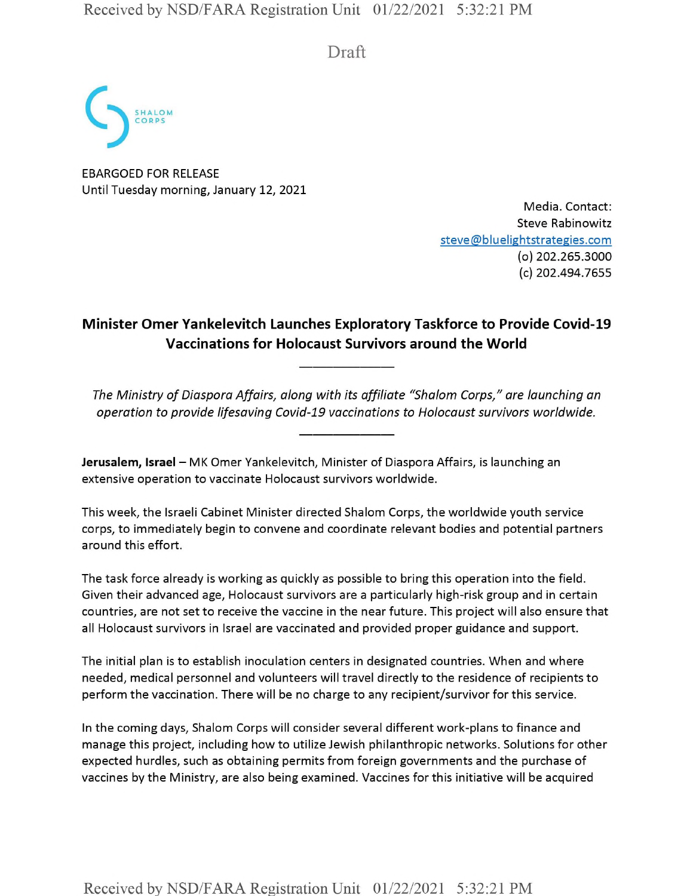Received by NSD/FARA Registration Unit 01/22/2021 5:32:21 PM

## Draft



EBARGOED FOR RELEASE Until Tuesday morning, January 12, 2021

> Media. Contact: Steve Rabinowitz steve@bluelightstrategies.com (o) 202.265.3000 (c) 202.494.7655

## **Minister Omer Yankelevitch Launches Exploratory Taskforce to Provide Covid-19 Vaccinations for Holocaust Survivors around the World**

*The Ministry of Diaspora Affairs, along with its affiliate "Shalom Corps/' are launching an operation to provide lifesaving Covid-19 vaccinations to Holocaust survivors worldwide.*

**Jerusalem, Israel** - MK Omer Yankelevitch, Minister of Diaspora Affairs, is launching an extensive operation to vaccinate Holocaust survivors worldwide.

This week, the Israeli Cabinet Minister directed Shalom Corps, the worldwide youth service corps, to immediately begin to convene and coordinate relevant bodies and potential partners around this effort.

The task force already is working as quickly as possible to bring this operation into the field. Given their advanced age, Holocaust survivors are <sup>a</sup> particularly high-risk group and in certain countries, are not set to receive the vaccine in the near future. This project will also ensure that all Holocaust survivors in Israel are vaccinated and provided proper guidance and support.

The initial plan is to establish inoculation centers in designated countries. When and where needed, medical personnel and volunteers will travel directly to the residence of recipients to perform the vaccination. There will be no charge to any recipient/survivor for this service.

In the coming days, Shalom Corps will consider several different work-plans to finance and manage this project, including how to utilize Jewish philanthropic networks. Solutions for other expected hurdles, such as obtaining permits from foreign governments and the purchase of vaccines by the Ministry, are also being examined. Vaccines for this initiative will be acquired